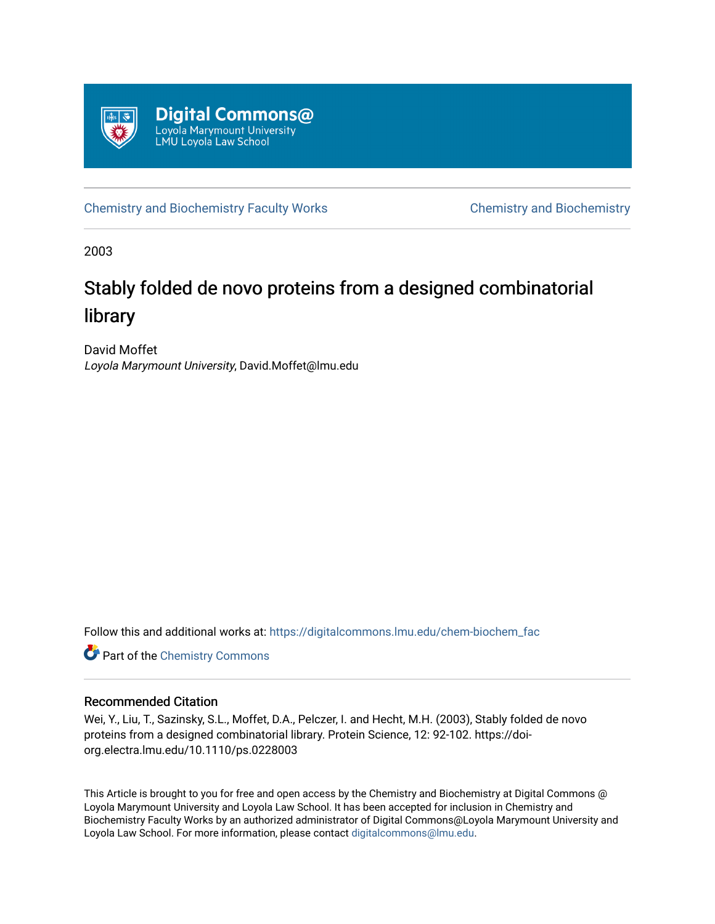

[Chemistry and Biochemistry Faculty Works](https://digitalcommons.lmu.edu/chem-biochem_fac) [Chemistry and Biochemistry](https://digitalcommons.lmu.edu/chem-biochem) 

2003

# Stably folded de novo proteins from a designed combinatorial library

David Moffet Loyola Marymount University, David.Moffet@lmu.edu

Follow this and additional works at: [https://digitalcommons.lmu.edu/chem-biochem\\_fac](https://digitalcommons.lmu.edu/chem-biochem_fac?utm_source=digitalcommons.lmu.edu%2Fchem-biochem_fac%2F35&utm_medium=PDF&utm_campaign=PDFCoverPages) 

**Part of the Chemistry Commons** 

# Recommended Citation

Wei, Y., Liu, T., Sazinsky, S.L., Moffet, D.A., Pelczer, I. and Hecht, M.H. (2003), Stably folded de novo proteins from a designed combinatorial library. Protein Science, 12: 92-102. https://doiorg.electra.lmu.edu/10.1110/ps.0228003

This Article is brought to you for free and open access by the Chemistry and Biochemistry at Digital Commons @ Loyola Marymount University and Loyola Law School. It has been accepted for inclusion in Chemistry and Biochemistry Faculty Works by an authorized administrator of Digital Commons@Loyola Marymount University and Loyola Law School. For more information, please contact [digitalcommons@lmu.edu](mailto:digitalcommons@lmu.edu).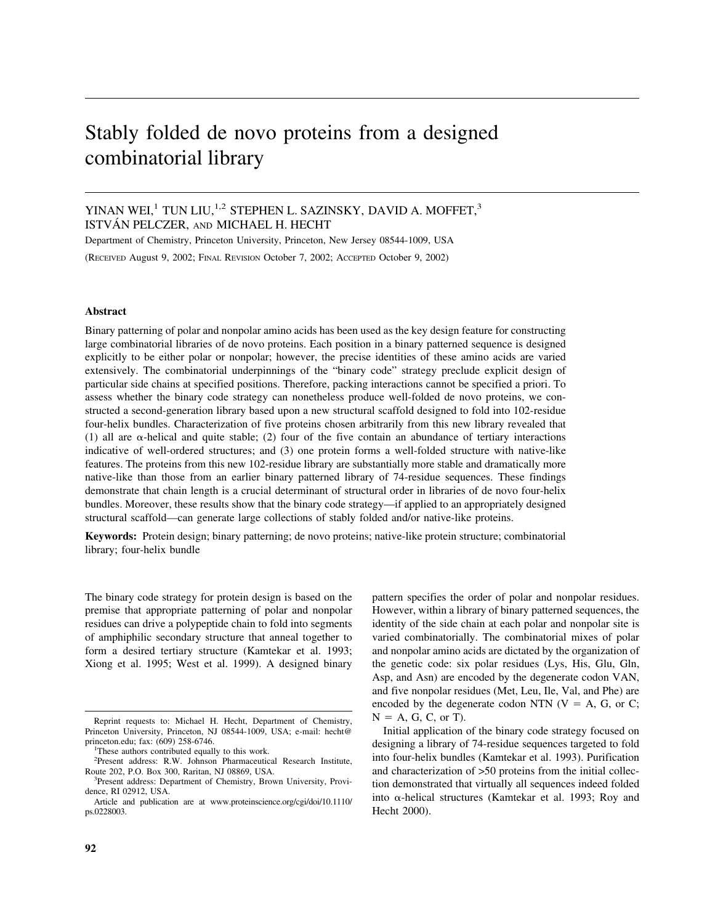# Stably folded de novo proteins from a designed combinatorial library

# YINAN WEI,<sup>1</sup> TUN LIU,<sup>1,2</sup> STEPHEN L. SAZINSKY, DAVID A. MOFFET,<sup>3</sup> ISTVÁN PELCZER, AND MICHAEL H. HECHT

Department of Chemistry, Princeton University, Princeton, New Jersey 08544-1009, USA (RECEIVED August 9, 2002; FINAL REVISION October 7, 2002; ACCEPTED October 9, 2002)

## **Abstract**

Binary patterning of polar and nonpolar amino acids has been used as the key design feature for constructing large combinatorial libraries of de novo proteins. Each position in a binary patterned sequence is designed explicitly to be either polar or nonpolar; however, the precise identities of these amino acids are varied extensively. The combinatorial underpinnings of the "binary code" strategy preclude explicit design of particular side chains at specified positions. Therefore, packing interactions cannot be specified a priori. To assess whether the binary code strategy can nonetheless produce well-folded de novo proteins, we constructed a second-generation library based upon a new structural scaffold designed to fold into 102-residue four-helix bundles. Characterization of five proteins chosen arbitrarily from this new library revealed that (1) all are  $\alpha$ -helical and quite stable; (2) four of the five contain an abundance of tertiary interactions indicative of well-ordered structures; and (3) one protein forms a well-folded structure with native-like features. The proteins from this new 102-residue library are substantially more stable and dramatically more native-like than those from an earlier binary patterned library of 74-residue sequences. These findings demonstrate that chain length is a crucial determinant of structural order in libraries of de novo four-helix bundles. Moreover, these results show that the binary code strategy—if applied to an appropriately designed structural scaffold—can generate large collections of stably folded and/or native-like proteins.

**Keywords:** Protein design; binary patterning; de novo proteins; native-like protein structure; combinatorial library; four-helix bundle

The binary code strategy for protein design is based on the premise that appropriate patterning of polar and nonpolar residues can drive a polypeptide chain to fold into segments of amphiphilic secondary structure that anneal together to form a desired tertiary structure (Kamtekar et al. 1993; Xiong et al. 1995; West et al. 1999). A designed binary

pattern specifies the order of polar and nonpolar residues. However, within a library of binary patterned sequences, the identity of the side chain at each polar and nonpolar site is varied combinatorially. The combinatorial mixes of polar and nonpolar amino acids are dictated by the organization of the genetic code: six polar residues (Lys, His, Glu, Gln, Asp, and Asn) are encoded by the degenerate codon VAN, and five nonpolar residues (Met, Leu, Ile, Val, and Phe) are encoded by the degenerate codon NTN ( $V = A$ , G, or C;  $N = A$ , G, C, or T).

Initial application of the binary code strategy focused on designing a library of 74-residue sequences targeted to fold into four-helix bundles (Kamtekar et al. 1993). Purification and characterization of >50 proteins from the initial collection demonstrated that virtually all sequences indeed folded into  $\alpha$ -helical structures (Kamtekar et al. 1993; Roy and Hecht 2000).

Reprint requests to: Michael H. Hecht, Department of Chemistry, Princeton University, Princeton, NJ 08544-1009, USA; e-mail: hecht@ princeton.edu; fax: (609) 258-6746. <sup>1</sup>

<sup>&</sup>lt;sup>1</sup>These authors contributed equally to this work.

<sup>2</sup> Present address: R.W. Johnson Pharmaceutical Research Institute, Route 202, P.O. Box 300, Raritan, NJ 08869, USA. <sup>3</sup>

<sup>&</sup>lt;sup>3</sup>Present address: Department of Chemistry, Brown University, Providence, RI 02912, USA.

Article and publication are at www.proteinscience.org/cgi/doi/10.1110/ ps.0228003.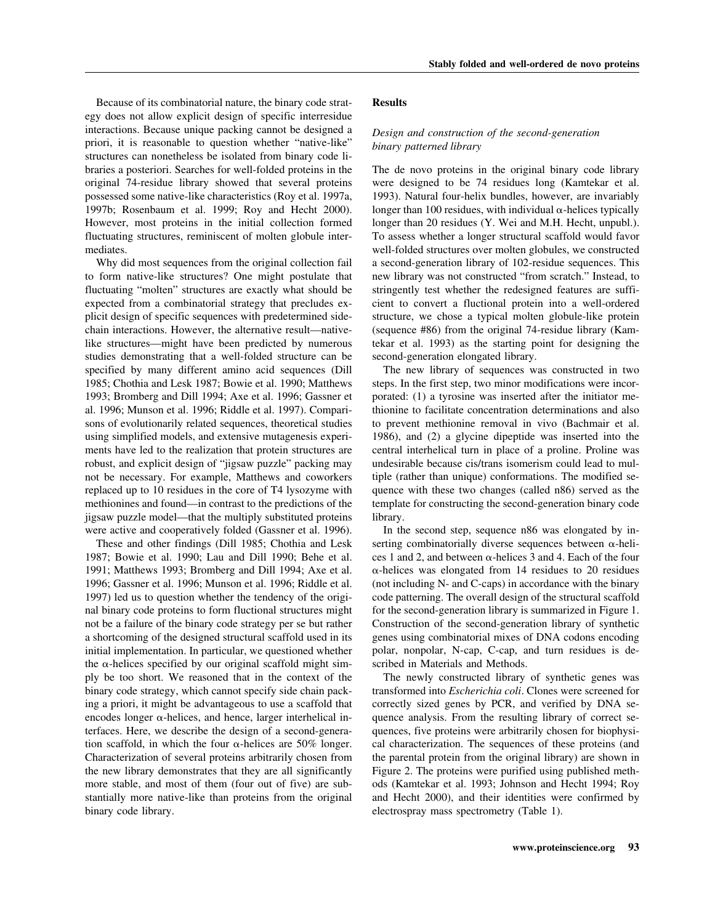Because of its combinatorial nature, the binary code strategy does not allow explicit design of specific interresidue interactions. Because unique packing cannot be designed a priori, it is reasonable to question whether "native-like" structures can nonetheless be isolated from binary code libraries a posteriori. Searches for well-folded proteins in the original 74-residue library showed that several proteins possessed some native-like characteristics (Roy et al. 1997a, 1997b; Rosenbaum et al. 1999; Roy and Hecht 2000). However, most proteins in the initial collection formed fluctuating structures, reminiscent of molten globule intermediates.

Why did most sequences from the original collection fail to form native-like structures? One might postulate that fluctuating "molten" structures are exactly what should be expected from a combinatorial strategy that precludes explicit design of specific sequences with predetermined sidechain interactions. However, the alternative result—nativelike structures—might have been predicted by numerous studies demonstrating that a well-folded structure can be specified by many different amino acid sequences (Dill 1985; Chothia and Lesk 1987; Bowie et al. 1990; Matthews 1993; Bromberg and Dill 1994; Axe et al. 1996; Gassner et al. 1996; Munson et al. 1996; Riddle et al. 1997). Comparisons of evolutionarily related sequences, theoretical studies using simplified models, and extensive mutagenesis experiments have led to the realization that protein structures are robust, and explicit design of "jigsaw puzzle" packing may not be necessary. For example, Matthews and coworkers replaced up to 10 residues in the core of T4 lysozyme with methionines and found—in contrast to the predictions of the jigsaw puzzle model—that the multiply substituted proteins were active and cooperatively folded (Gassner et al. 1996).

These and other findings (Dill 1985; Chothia and Lesk 1987; Bowie et al. 1990; Lau and Dill 1990; Behe et al. 1991; Matthews 1993; Bromberg and Dill 1994; Axe et al. 1996; Gassner et al. 1996; Munson et al. 1996; Riddle et al. 1997) led us to question whether the tendency of the original binary code proteins to form fluctional structures might not be a failure of the binary code strategy per se but rather a shortcoming of the designed structural scaffold used in its initial implementation. In particular, we questioned whether the  $\alpha$ -helices specified by our original scaffold might simply be too short. We reasoned that in the context of the binary code strategy, which cannot specify side chain packing a priori, it might be advantageous to use a scaffold that encodes longer  $\alpha$ -helices, and hence, larger interhelical interfaces. Here, we describe the design of a second-generation scaffold, in which the four  $\alpha$ -helices are 50% longer. Characterization of several proteins arbitrarily chosen from the new library demonstrates that they are all significantly more stable, and most of them (four out of five) are substantially more native-like than proteins from the original binary code library.

#### **Results**

### *Design and construction of the second-generation binary patterned library*

The de novo proteins in the original binary code library were designed to be 74 residues long (Kamtekar et al. 1993). Natural four-helix bundles, however, are invariably longer than 100 residues, with individual  $\alpha$ -helices typically longer than 20 residues (Y. Wei and M.H. Hecht, unpubl.). To assess whether a longer structural scaffold would favor well-folded structures over molten globules, we constructed a second-generation library of 102-residue sequences. This new library was not constructed "from scratch." Instead, to stringently test whether the redesigned features are sufficient to convert a fluctional protein into a well-ordered structure, we chose a typical molten globule-like protein (sequence #86) from the original 74-residue library (Kamtekar et al. 1993) as the starting point for designing the second-generation elongated library.

The new library of sequences was constructed in two steps. In the first step, two minor modifications were incorporated: (1) a tyrosine was inserted after the initiator methionine to facilitate concentration determinations and also to prevent methionine removal in vivo (Bachmair et al. 1986), and (2) a glycine dipeptide was inserted into the central interhelical turn in place of a proline. Proline was undesirable because cis/trans isomerism could lead to multiple (rather than unique) conformations. The modified sequence with these two changes (called n86) served as the template for constructing the second-generation binary code library.

In the second step, sequence n86 was elongated by inserting combinatorially diverse sequences between  $\alpha$ -helices 1 and 2, and between  $\alpha$ -helices 3 and 4. Each of the four  $\alpha$ -helices was elongated from 14 residues to 20 residues (not including N- and C-caps) in accordance with the binary code patterning. The overall design of the structural scaffold for the second-generation library is summarized in Figure 1. Construction of the second-generation library of synthetic genes using combinatorial mixes of DNA codons encoding polar, nonpolar, N-cap, C-cap, and turn residues is described in Materials and Methods.

The newly constructed library of synthetic genes was transformed into *Escherichia coli*. Clones were screened for correctly sized genes by PCR, and verified by DNA sequence analysis. From the resulting library of correct sequences, five proteins were arbitrarily chosen for biophysical characterization. The sequences of these proteins (and the parental protein from the original library) are shown in Figure 2. The proteins were purified using published methods (Kamtekar et al. 1993; Johnson and Hecht 1994; Roy and Hecht 2000), and their identities were confirmed by electrospray mass spectrometry (Table 1).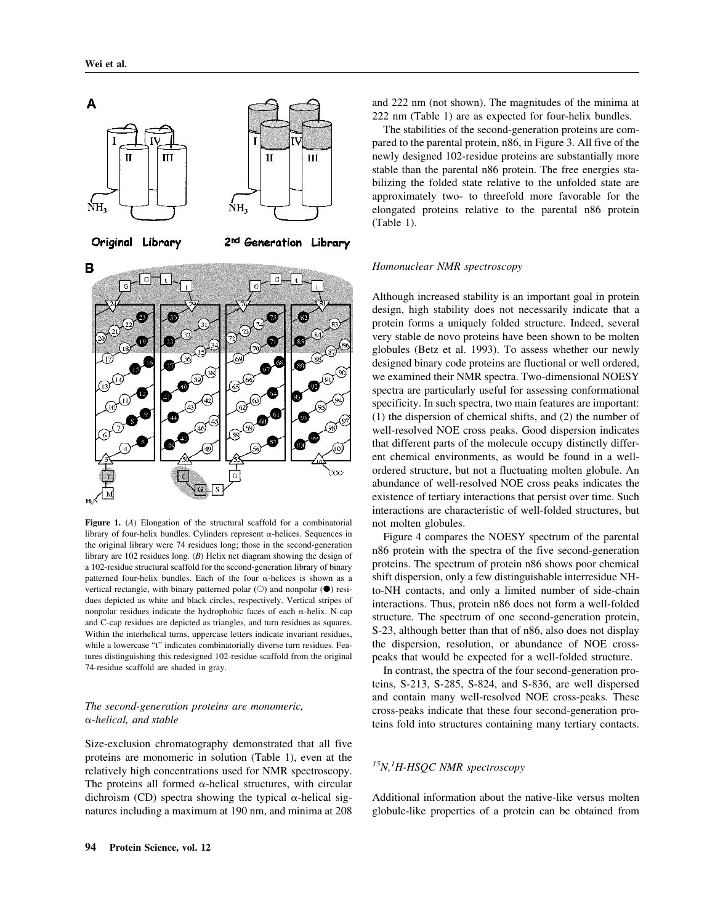







Figure 1. (A) Elongation of the structural scaffold for a combinatorial library of four-helix bundles. Cylinders represent  $\alpha$ -helices. Sequences in the original library were 74 residues long; those in the second-generation library are 102 residues long. (*B*) Helix net diagram showing the design of a 102-residue structural scaffold for the second-generation library of binary patterned four-helix bundles. Each of the four  $\alpha$ -helices is shown as a vertical rectangle, with binary patterned polar  $(O)$  and nonpolar  $(\bullet)$  residues depicted as white and black circles, respectively. Vertical stripes of nonpolar residues indicate the hydrophobic faces of each  $\alpha$ -helix. N-cap and C-cap residues are depicted as triangles, and turn residues as squares. Within the interhelical turns, uppercase letters indicate invariant residues, while a lowercase "t" indicates combinatorially diverse turn residues. Features distinguishing this redesigned 102-residue scaffold from the original 74-residue scaffold are shaded in gray.

## *The second-generation proteins are monomeric, -helical, and stable*

Size-exclusion chromatography demonstrated that all five proteins are monomeric in solution (Table 1), even at the relatively high concentrations used for NMR spectroscopy. The proteins all formed  $\alpha$ -helical structures, with circular dichroism (CD) spectra showing the typical  $\alpha$ -helical signatures including a maximum at 190 nm, and minima at 208 and 222 nm (not shown). The magnitudes of the minima at 222 nm (Table 1) are as expected for four-helix bundles.

The stabilities of the second-generation proteins are compared to the parental protein, n86, in Figure 3. All five of the newly designed 102-residue proteins are substantially more stable than the parental n86 protein. The free energies stabilizing the folded state relative to the unfolded state are approximately two- to threefold more favorable for the elongated proteins relative to the parental n86 protein (Table 1).

#### *Homonuclear NMR spectroscopy*

Although increased stability is an important goal in protein design, high stability does not necessarily indicate that a protein forms a uniquely folded structure. Indeed, several very stable de novo proteins have been shown to be molten globules (Betz et al. 1993). To assess whether our newly designed binary code proteins are fluctional or well ordered, we examined their NMR spectra. Two-dimensional NOESY spectra are particularly useful for assessing conformational specificity. In such spectra, two main features are important: (1) the dispersion of chemical shifts, and (2) the number of well-resolved NOE cross peaks. Good dispersion indicates that different parts of the molecule occupy distinctly different chemical environments, as would be found in a wellordered structure, but not a fluctuating molten globule. An abundance of well-resolved NOE cross peaks indicates the existence of tertiary interactions that persist over time. Such interactions are characteristic of well-folded structures, but not molten globules.

Figure 4 compares the NOESY spectrum of the parental n86 protein with the spectra of the five second-generation proteins. The spectrum of protein n86 shows poor chemical shift dispersion, only a few distinguishable interresidue NHto-NH contacts, and only a limited number of side-chain interactions. Thus, protein n86 does not form a well-folded structure. The spectrum of one second-generation protein, S-23, although better than that of n86, also does not display the dispersion, resolution, or abundance of NOE crosspeaks that would be expected for a well-folded structure.

In contrast, the spectra of the four second-generation proteins, S-213, S-285, S-824, and S-836, are well dispersed and contain many well-resolved NOE cross-peaks. These cross-peaks indicate that these four second-generation proteins fold into structures containing many tertiary contacts.

## *15N,1 H-HSQC NMR spectroscopy*

Additional information about the native-like versus molten globule-like properties of a protein can be obtained from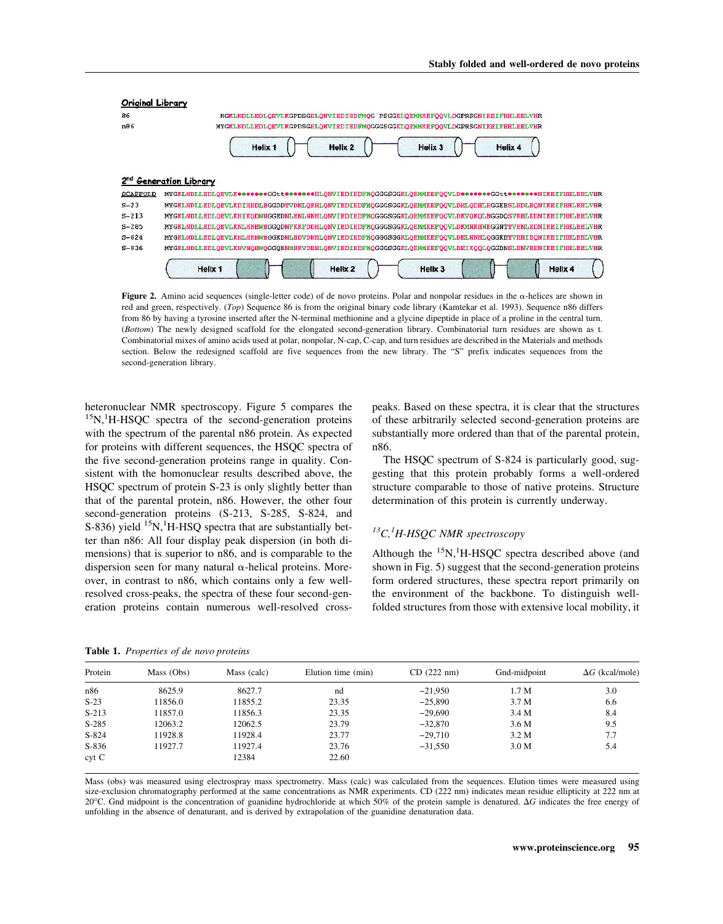

**Figure 2.** Amino acid sequences (single-letter code) of de novo proteins. Polar and nonpolar residues in the  $\alpha$ -helices are shown in red and green, respectively. (*Top*) Sequence 86 is from the original binary code library (Kamtekar et al. 1993). Sequence n86 differs from 86 by having a tyrosine inserted after the N-terminal methionine and a glycine dipeptide in place of a proline in the central turn. (*Bottom*) The newly designed scaffold for the elongated second-generation library. Combinatorial turn residues are shown as t. Combinatorial mixes of amino acids used at polar, nonpolar, N-cap, C-cap, and turn residues are described in the Materials and methods section. Below the redesigned scaffold are five sequences from the new library. The "S" prefix indicates sequences from the second-generation library.

heteronuclear NMR spectroscopy. Figure 5 compares the <sup>15</sup>N,<sup>1</sup>H-HSQC spectra of the second-generation proteins with the spectrum of the parental n86 protein. As expected for proteins with different sequences, the HSQC spectra of the five second-generation proteins range in quality. Consistent with the homonuclear results described above, the HSQC spectrum of protein S-23 is only slightly better than that of the parental protein, n86. However, the other four second-generation proteins (S-213, S-285, S-824, and S-836) yield  $^{15}N$ , <sup>1</sup>H-HSQ spectra that are substantially better than n86: All four display peak dispersion (in both dimensions) that is superior to n86, and is comparable to the dispersion seen for many natural  $\alpha$ -helical proteins. Moreover, in contrast to n86, which contains only a few wellresolved cross-peaks, the spectra of these four second-generation proteins contain numerous well-resolved cross-

peaks. Based on these spectra, it is clear that the structures of these arbitrarily selected second-generation proteins are substantially more ordered than that of the parental protein, n86.

The HSQC spectrum of S-824 is particularly good, suggesting that this protein probably forms a well-ordered structure comparable to those of native proteins. Structure determination of this protein is currently underway.

## *13C,1 H-HSQC NMR spectroscopy*

Although the  ${}^{15}N, {}^{1}H$ -HSQC spectra described above (and shown in Fig. 5) suggest that the second-generation proteins form ordered structures, these spectra report primarily on the environment of the backbone. To distinguish wellfolded structures from those with extensive local mobility, it

**Table 1.** *Properties of de novo proteins*

| Protein | Mass (Obs) | Mass (calc) | Elution time (min) | CD(222 nm) | Gnd-midpoint     | $\Delta G$ (kcal/mole) |
|---------|------------|-------------|--------------------|------------|------------------|------------------------|
| n86     | 8625.9     | 8627.7      | nd                 | $-21.950$  | 1.7 <sub>M</sub> | 3.0                    |
| $S-23$  | 11856.0    | 11855.2     | 23.35              | $-25.890$  | 3.7 M            | 6.6                    |
| $S-213$ | 11857.0    | 11856.3     | 23.35              | $-29,690$  | 3.4 M            | 8.4                    |
| $S-285$ | 12063.2    | 12062.5     | 23.79              | $-32.870$  | 3.6 M            | 9.5                    |
| $S-824$ | 11928.8    | 11928.4     | 23.77              | $-29.710$  | 3.2 M            | 7.7                    |
| S-836   | 11927.7    | 11927.4     | 23.76              | $-31.550$  | 3.0 M            | 5.4                    |
| cyt C   |            | 12384       | 22.60              |            |                  |                        |

Mass (obs) was measured using electrospray mass spectrometry. Mass (calc) was calculated from the sequences. Elution times were measured using size-exclusion chromatography performed at the same concentrations as NMR experiments. CD (222 nm) indicates mean residue ellipticity at 222 nm at 20°C. Gnd midpoint is the concentration of guanidine hydrochloride at which 50% of the protein sample is denatured.  $\Delta G$  indicates the free energy of unfolding in the absence of denaturant, and is derived by extrapolation of the guanidine denaturation data.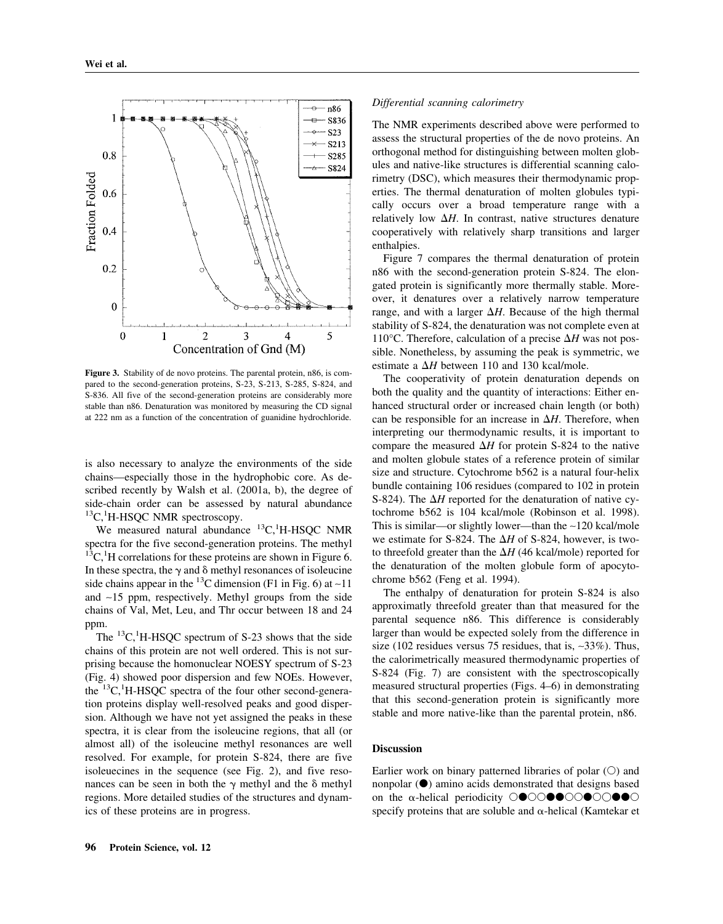

**Figure 3.** Stability of de novo proteins. The parental protein, n86, is compared to the second-generation proteins, S-23, S-213, S-285, S-824, and S-836. All five of the second-generation proteins are considerably more stable than n86. Denaturation was monitored by measuring the CD signal at 222 nm as a function of the concentration of guanidine hydrochloride.

is also necessary to analyze the environments of the side chains—especially those in the hydrophobic core. As described recently by Walsh et al. (2001a, b), the degree of side-chain order can be assessed by natural abundance <sup>13</sup>C,<sup>1</sup>H-HSQC NMR spectroscopy.

We measured natural abundance <sup>13</sup>C,<sup>1</sup>H-HSQC NMR spectra for the five second-generation proteins. The methyl  $13^{\circ}$ C,<sup>1</sup>H correlations for these proteins are shown in Figure 6. In these spectra, the  $\gamma$  and  $\delta$  methyl resonances of isoleucine side chains appear in the <sup>13</sup>C dimension (F1 in Fig. 6) at ~11 and ∼15 ppm, respectively. Methyl groups from the side chains of Val, Met, Leu, and Thr occur between 18 and 24 ppm.

The  ${}^{13}C$ , <sup>1</sup>H-HSQC spectrum of S-23 shows that the side chains of this protein are not well ordered. This is not surprising because the homonuclear NOESY spectrum of S-23 (Fig. 4) showed poor dispersion and few NOEs. However, the <sup>13</sup>C,<sup>1</sup>H-HSQC spectra of the four other second-generation proteins display well-resolved peaks and good dispersion. Although we have not yet assigned the peaks in these spectra, it is clear from the isoleucine regions, that all (or almost all) of the isoleucine methyl resonances are well resolved. For example, for protein S-824, there are five isoleuecines in the sequence (see Fig. 2), and five resonances can be seen in both the  $\gamma$  methyl and the  $\delta$  methyl regions. More detailed studies of the structures and dynamics of these proteins are in progress.

#### *Differential scanning calorimetry*

The NMR experiments described above were performed to assess the structural properties of the de novo proteins. An orthogonal method for distinguishing between molten globules and native-like structures is differential scanning calorimetry (DSC), which measures their thermodynamic properties. The thermal denaturation of molten globules typically occurs over a broad temperature range with a relatively low  $\Delta H$ . In contrast, native structures denature cooperatively with relatively sharp transitions and larger enthalpies.

Figure 7 compares the thermal denaturation of protein n86 with the second-generation protein S-824. The elongated protein is significantly more thermally stable. Moreover, it denatures over a relatively narrow temperature range, and with a larger  $\Delta H$ . Because of the high thermal stability of S-824, the denaturation was not complete even at 110°C. Therefore, calculation of a precise  $\Delta H$  was not possible. Nonetheless, by assuming the peak is symmetric, we estimate a  $\Delta H$  between 110 and 130 kcal/mole.

The cooperativity of protein denaturation depends on both the quality and the quantity of interactions: Either enhanced structural order or increased chain length (or both) can be responsible for an increase in  $\Delta H$ . Therefore, when interpreting our thermodynamic results, it is important to compare the measured  $\Delta H$  for protein S-824 to the native and molten globule states of a reference protein of similar size and structure. Cytochrome b562 is a natural four-helix bundle containing 106 residues (compared to 102 in protein S-824). The  $\Delta H$  reported for the denaturation of native cytochrome b562 is 104 kcal/mole (Robinson et al. 1998). This is similar—or slightly lower—than the ∼120 kcal/mole we estimate for S-824. The  $\Delta H$  of S-824, however, is twoto threefold greater than the  $\Delta H$  (46 kcal/mole) reported for the denaturation of the molten globule form of apocytochrome b562 (Feng et al. 1994).

The enthalpy of denaturation for protein S-824 is also approximatly threefold greater than that measured for the parental sequence n86. This difference is considerably larger than would be expected solely from the difference in size (102 residues versus 75 residues, that is, ∼33%). Thus, the calorimetrically measured thermodynamic properties of S-824 (Fig. 7) are consistent with the spectroscopically measured structural properties (Figs. 4–6) in demonstrating that this second-generation protein is significantly more stable and more native-like than the parental protein, n86.

### **Discussion**

Earlier work on binary patterned libraries of polar  $(\bigcirc)$  and nonpolar ( $\bullet$ ) amino acids demonstrated that designs based on the  $\alpha$ -helical periodicity  $\circ\bullet\circ\circ\bullet\bullet\circ\circ\bullet\bullet\circ$ specify proteins that are soluble and  $\alpha$ -helical (Kamtekar et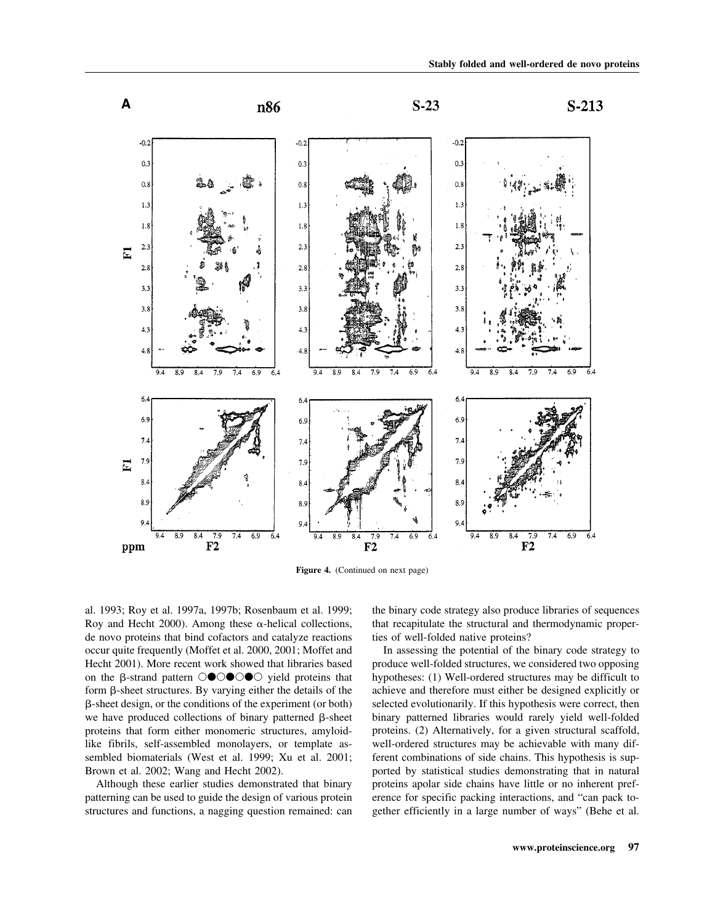

**Figure 4.** (Continued on next page)

al. 1993; Roy et al. 1997a, 1997b; Rosenbaum et al. 1999; Roy and Hecht 2000). Among these  $\alpha$ -helical collections, de novo proteins that bind cofactors and catalyze reactions occur quite frequently (Moffet et al. 2000, 2001; Moffet and Hecht 2001). More recent work showed that libraries based on the  $\beta$ -strand pattern  $\odot \bullet \odot \bullet \odot \bullet \odot$  yield proteins that form  $\beta$ -sheet structures. By varying either the details of the  $\beta$ -sheet design, or the conditions of the experiment (or both) we have produced collections of binary patterned  $\beta$ -sheet proteins that form either monomeric structures, amyloidlike fibrils, self-assembled monolayers, or template assembled biomaterials (West et al. 1999; Xu et al. 2001; Brown et al. 2002; Wang and Hecht 2002).

Although these earlier studies demonstrated that binary patterning can be used to guide the design of various protein structures and functions, a nagging question remained: can the binary code strategy also produce libraries of sequences that recapitulate the structural and thermodynamic properties of well-folded native proteins?

In assessing the potential of the binary code strategy to produce well-folded structures, we considered two opposing hypotheses: (1) Well-ordered structures may be difficult to achieve and therefore must either be designed explicitly or selected evolutionarily. If this hypothesis were correct, then binary patterned libraries would rarely yield well-folded proteins. (2) Alternatively, for a given structural scaffold, well-ordered structures may be achievable with many different combinations of side chains. This hypothesis is supported by statistical studies demonstrating that in natural proteins apolar side chains have little or no inherent preference for specific packing interactions, and "can pack together efficiently in a large number of ways" (Behe et al.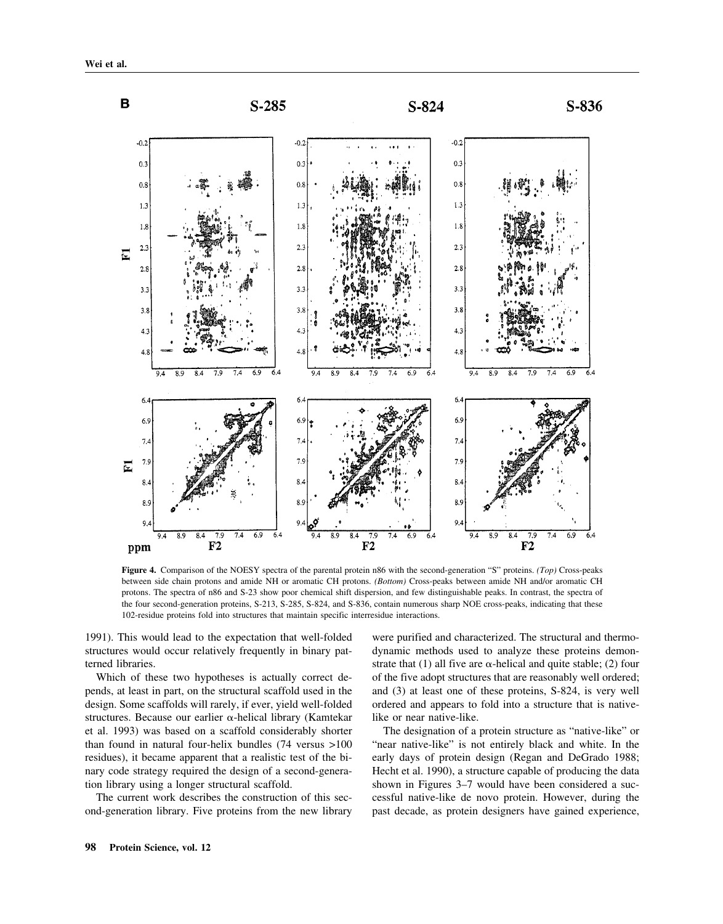

**Figure 4.** Comparison of the NOESY spectra of the parental protein n86 with the second-generation "S" proteins. *(Top)* Cross-peaks between side chain protons and amide NH or aromatic CH protons. *(Bottom)* Cross-peaks between amide NH and/or aromatic CH protons. The spectra of n86 and S-23 show poor chemical shift dispersion, and few distinguishable peaks. In contrast, the spectra of the four second-generation proteins, S-213, S-285, S-824, and S-836, contain numerous sharp NOE cross-peaks, indicating that these 102-residue proteins fold into structures that maintain specific interresidue interactions.

1991). This would lead to the expectation that well-folded structures would occur relatively frequently in binary patterned libraries.

Which of these two hypotheses is actually correct depends, at least in part, on the structural scaffold used in the design. Some scaffolds will rarely, if ever, yield well-folded structures. Because our earlier  $\alpha$ -helical library (Kamtekar et al. 1993) was based on a scaffold considerably shorter than found in natural four-helix bundles (74 versus >100 residues), it became apparent that a realistic test of the binary code strategy required the design of a second-generation library using a longer structural scaffold.

The current work describes the construction of this second-generation library. Five proteins from the new library were purified and characterized. The structural and thermodynamic methods used to analyze these proteins demonstrate that (1) all five are  $\alpha$ -helical and quite stable; (2) four of the five adopt structures that are reasonably well ordered; and (3) at least one of these proteins, S-824, is very well ordered and appears to fold into a structure that is nativelike or near native-like.

The designation of a protein structure as "native-like" or "near native-like" is not entirely black and white. In the early days of protein design (Regan and DeGrado 1988; Hecht et al. 1990), a structure capable of producing the data shown in Figures 3–7 would have been considered a successful native-like de novo protein. However, during the past decade, as protein designers have gained experience,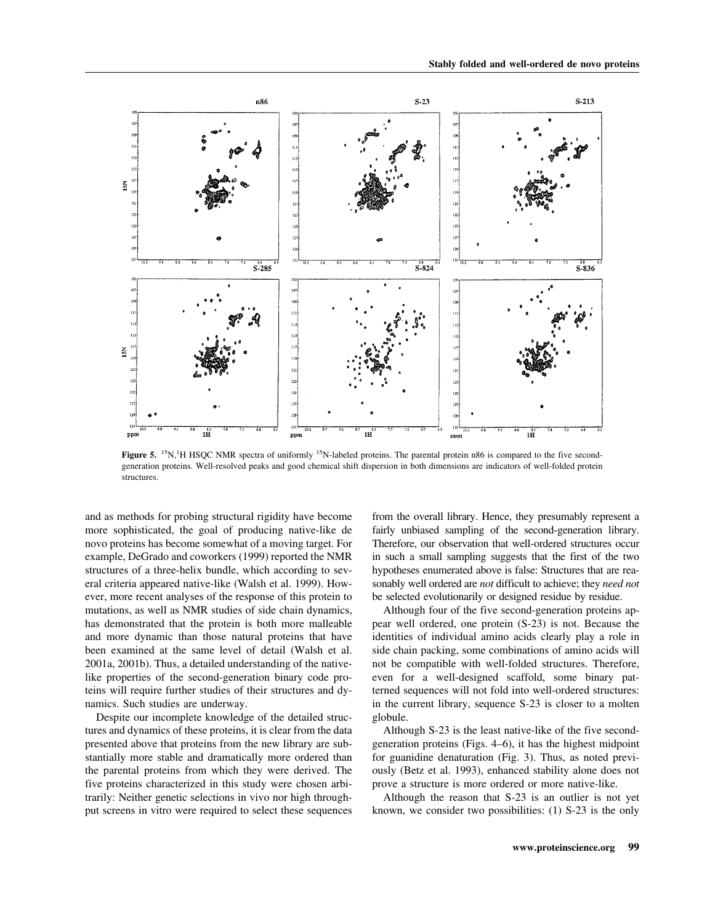

**Figure 5.** <sup>15</sup>N,<sup>1</sup>H HSQC NMR spectra of uniformly <sup>15</sup>N-labeled proteins. The parental protein n86 is compared to the five secondgeneration proteins. Well-resolved peaks and good chemical shift dispersion in both dimensions are indicators of well-folded protein structures.

and as methods for probing structural rigidity have become more sophisticated, the goal of producing native-like de novo proteins has become somewhat of a moving target. For example, DeGrado and coworkers (1999) reported the NMR structures of a three-helix bundle, which according to several criteria appeared native-like (Walsh et al. 1999). However, more recent analyses of the response of this protein to mutations, as well as NMR studies of side chain dynamics, has demonstrated that the protein is both more malleable and more dynamic than those natural proteins that have been examined at the same level of detail (Walsh et al. 2001a, 2001b). Thus, a detailed understanding of the nativelike properties of the second-generation binary code proteins will require further studies of their structures and dynamics. Such studies are underway.

Despite our incomplete knowledge of the detailed structures and dynamics of these proteins, it is clear from the data presented above that proteins from the new library are substantially more stable and dramatically more ordered than the parental proteins from which they were derived. The five proteins characterized in this study were chosen arbitrarily: Neither genetic selections in vivo nor high throughput screens in vitro were required to select these sequences

from the overall library. Hence, they presumably represent a fairly unbiased sampling of the second-generation library. Therefore, our observation that well-ordered structures occur in such a small sampling suggests that the first of the two hypotheses enumerated above is false: Structures that are reasonably well ordered are *not* difficult to achieve; they *need not* be selected evolutionarily or designed residue by residue.

Although four of the five second-generation proteins appear well ordered, one protein (S-23) is not. Because the identities of individual amino acids clearly play a role in side chain packing, some combinations of amino acids will not be compatible with well-folded structures. Therefore, even for a well-designed scaffold, some binary patterned sequences will not fold into well-ordered structures: in the current library, sequence S-23 is closer to a molten globule.

Although S-23 is the least native-like of the five secondgeneration proteins (Figs. 4–6), it has the highest midpoint for guanidine denaturation (Fig. 3). Thus, as noted previously (Betz et al. 1993), enhanced stability alone does not prove a structure is more ordered or more native-like.

Although the reason that S-23 is an outlier is not yet known, we consider two possibilities: (1) S-23 is the only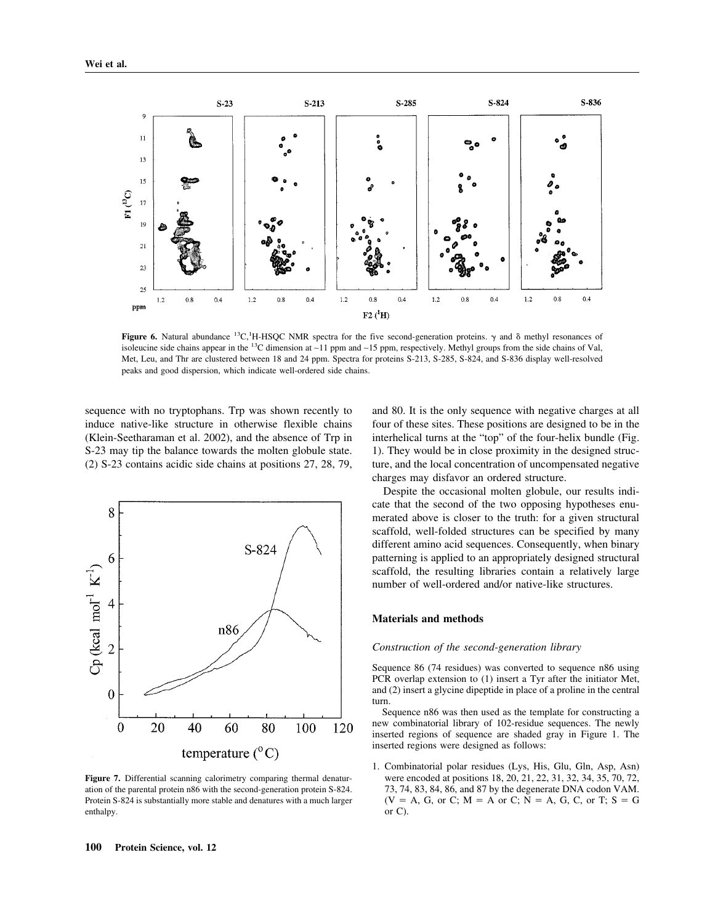

**Figure 6.** Natural abundance <sup>13</sup>C,<sup>1</sup>H-HSQC NMR spectra for the five second-generation proteins.  $\gamma$  and  $\delta$  methyl resonances of isoleucine side chains appear in the 13C dimension at ∼11 ppm and ∼15 ppm, respectively. Methyl groups from the side chains of Val, Met, Leu, and Thr are clustered between 18 and 24 ppm. Spectra for proteins S-213, S-285, S-824, and S-836 display well-resolved peaks and good dispersion, which indicate well-ordered side chains.

sequence with no tryptophans. Trp was shown recently to induce native-like structure in otherwise flexible chains (Klein-Seetharaman et al. 2002), and the absence of Trp in S-23 may tip the balance towards the molten globule state. (2) S-23 contains acidic side chains at positions 27, 28, 79,



**Figure 7.** Differential scanning calorimetry comparing thermal denaturation of the parental protein n86 with the second-generation protein S-824. Protein S-824 is substantially more stable and denatures with a much larger enthalpy.

and 80. It is the only sequence with negative charges at all four of these sites. These positions are designed to be in the interhelical turns at the "top" of the four-helix bundle (Fig. 1). They would be in close proximity in the designed structure, and the local concentration of uncompensated negative charges may disfavor an ordered structure.

Despite the occasional molten globule, our results indicate that the second of the two opposing hypotheses enumerated above is closer to the truth: for a given structural scaffold, well-folded structures can be specified by many different amino acid sequences. Consequently, when binary patterning is applied to an appropriately designed structural scaffold, the resulting libraries contain a relatively large number of well-ordered and/or native-like structures.

#### **Materials and methods**

#### *Construction of the second-generation library*

Sequence 86 (74 residues) was converted to sequence n86 using PCR overlap extension to (1) insert a Tyr after the initiator Met, and (2) insert a glycine dipeptide in place of a proline in the central turn.

Sequence n86 was then used as the template for constructing a new combinatorial library of 102-residue sequences. The newly inserted regions of sequence are shaded gray in Figure 1. The inserted regions were designed as follows:

1. Combinatorial polar residues (Lys, His, Glu, Gln, Asp, Asn) were encoded at positions 18, 20, 21, 22, 31, 32, 34, 35, 70, 72, 73, 74, 83, 84, 86, and 87 by the degenerate DNA codon VAM.  $(V = A, G,$  or C;  $M = A$  or C;  $N = A, G, C,$  or T;  $S = G$ or C).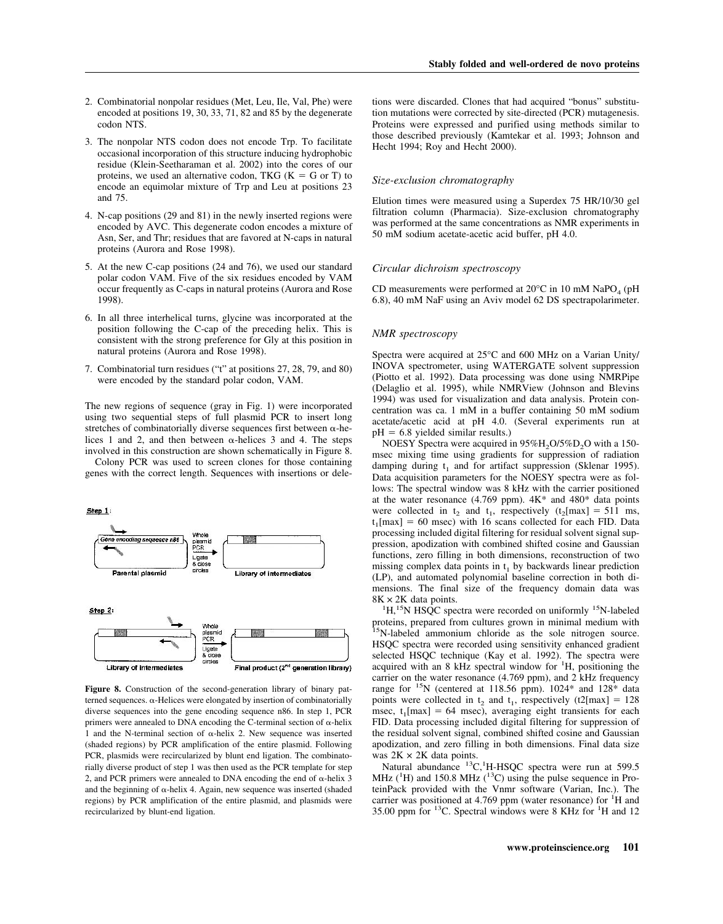- 2. Combinatorial nonpolar residues (Met, Leu, Ile, Val, Phe) were encoded at positions 19, 30, 33, 71, 82 and 85 by the degenerate codon NTS.
- 3. The nonpolar NTS codon does not encode Trp. To facilitate occasional incorporation of this structure inducing hydrophobic residue (Klein-Seetharaman et al. 2002) into the cores of our proteins, we used an alternative codon, TKG  $(K = G \text{ or } T)$  to encode an equimolar mixture of Trp and Leu at positions 23 and 75.
- 4. N-cap positions (29 and 81) in the newly inserted regions were encoded by AVC. This degenerate codon encodes a mixture of Asn, Ser, and Thr; residues that are favored at N-caps in natural proteins (Aurora and Rose 1998).
- 5. At the new C-cap positions (24 and 76), we used our standard polar codon VAM. Five of the six residues encoded by VAM occur frequently as C-caps in natural proteins (Aurora and Rose 1998).
- 6. In all three interhelical turns, glycine was incorporated at the position following the C-cap of the preceding helix. This is consistent with the strong preference for Gly at this position in natural proteins (Aurora and Rose 1998).
- 7. Combinatorial turn residues ("t" at positions 27, 28, 79, and 80) were encoded by the standard polar codon, VAM.

The new regions of sequence (gray in Fig. 1) were incorporated using two sequential steps of full plasmid PCR to insert long stretches of combinatorially diverse sequences first between  $\alpha$ -helices 1 and 2, and then between  $\alpha$ -helices 3 and 4. The steps involved in this construction are shown schematically in Figure 8.

Colony PCR was used to screen clones for those containing genes with the correct length. Sequences with insertions or dele-

Step 1:



**Figure 8.** Construction of the second-generation library of binary patterned sequences.  $\alpha$ -Helices were elongated by insertion of combinatorially diverse sequences into the gene encoding sequence n86. In step 1, PCR primers were annealed to DNA encoding the C-terminal section of  $\alpha$ -helix 1 and the N-terminal section of  $\alpha$ -helix 2. New sequence was inserted (shaded regions) by PCR amplification of the entire plasmid. Following PCR, plasmids were recircularized by blunt end ligation. The combinatorially diverse product of step 1 was then used as the PCR template for step 2, and PCR primers were annealed to DNA encoding the end of  $\alpha$ -helix 3 and the beginning of  $\alpha$ -helix 4. Again, new sequence was inserted (shaded regions) by PCR amplification of the entire plasmid, and plasmids were recircularized by blunt-end ligation.

tions were discarded. Clones that had acquired "bonus" substitution mutations were corrected by site-directed (PCR) mutagenesis. Proteins were expressed and purified using methods similar to those described previously (Kamtekar et al. 1993; Johnson and Hecht 1994; Roy and Hecht 2000).

#### *Size-exclusion chromatography*

Elution times were measured using a Superdex 75 HR/10/30 gel filtration column (Pharmacia). Size-exclusion chromatography was performed at the same concentrations as NMR experiments in 50 mM sodium acetate-acetic acid buffer, pH 4.0.

#### *Circular dichroism spectroscopy*

CD measurements were performed at  $20^{\circ}$ C in 10 mM NaPO<sub>4</sub> (pH 6.8), 40 mM NaF using an Aviv model 62 DS spectrapolarimeter.

#### *NMR spectroscopy*

Spectra were acquired at 25°C and 600 MHz on a Varian Unity/ INOVA spectrometer, using WATERGATE solvent suppression (Piotto et al. 1992). Data processing was done using NMRPipe (Delaglio et al. 1995), while NMRView (Johnson and Blevins 1994) was used for visualization and data analysis. Protein concentration was ca. 1 mM in a buffer containing 50 mM sodium acetate/acetic acid at pH 4.0. (Several experiments run at  $pH = 6.8$  yielded similar results.)

NOESY Spectra were acquired in 95%H<sub>2</sub>O/5%D<sub>2</sub>O with a 150msec mixing time using gradients for suppression of radiation damping during  $t_1$  and for artifact suppression (Sklenar 1995). Data acquisition parameters for the NOESY spectra were as follows: The spectral window was 8 kHz with the carrier positioned at the water resonance (4.769 ppm). 4K\* and 480\* data points were collected in  $t_2$  and  $t_1$ , respectively ( $t_2$ [max] = 511 ms,  $t_1$ [max] = 60 msec) with 16 scans collected for each FID. Data processing included digital filtering for residual solvent signal suppression, apodization with combined shifted cosine and Gaussian functions, zero filling in both dimensions, reconstruction of two missing complex data points in  $t_1$  by backwards linear prediction (LP), and automated polynomial baseline correction in both dimensions. The final size of the frequency domain data was  $8K \times 2K$  data points.

 ${}^{1}$ H,<sup>15</sup>N HSQC spectra were recorded on uniformly  ${}^{15}$ N-labeled proteins, prepared from cultures grown in minimal medium with 15N-labeled ammonium chloride as the sole nitrogen source. HSQC spectra were recorded using sensitivity enhanced gradient selected HSQC technique (Kay et al. 1992). The spectra were acquired with an 8 kHz spectral window for  ${}^{1}H$ , positioning the carrier on the water resonance (4.769 ppm), and 2 kHz frequency range for  $15N$  (centered at 118.56 ppm).  $1024*$  and  $128*$  data points were collected in t<sub>2</sub> and t<sub>1</sub>, respectively (t2[max] = 128 msec,  $t_1$ [max] = 64 msec), averaging eight transients for each FID. Data processing included digital filtering for suppression of the residual solvent signal, combined shifted cosine and Gaussian apodization, and zero filling in both dimensions. Final data size was  $2K \times 2K$  data points.

Natural abundance <sup>13</sup>C,<sup>1</sup>H-HSQC spectra were run at 599.5 MHz ( ${}^{1}$ H) and 150.8 MHz ( ${}^{13}$ C) using the pulse sequence in ProteinPack provided with the Vnmr software (Varian, Inc.). The carrier was positioned at 4.769 ppm (water resonance) for  ${}^{1}$ H and 35.00 ppm for  $^{13}$ C. Spectral windows were 8 KHz for <sup>1</sup>H and 12